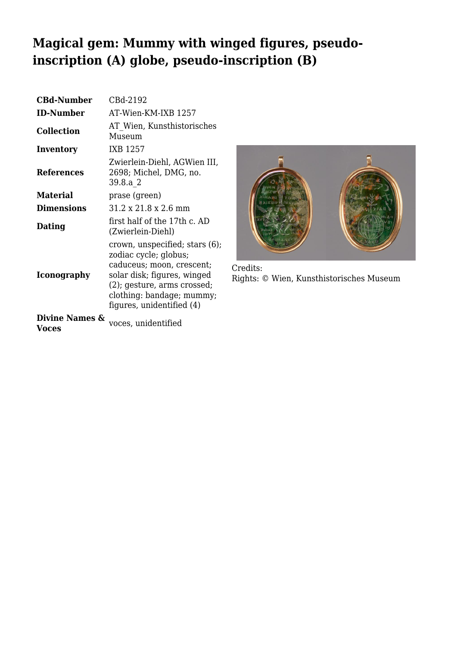## **Magical gem: Mummy with winged figures, pseudoinscription (A) globe, pseudo-inscription (B)**

| <b>CBd-Number</b>                  | CBd-2192                                                                                                                                                                                                        |
|------------------------------------|-----------------------------------------------------------------------------------------------------------------------------------------------------------------------------------------------------------------|
| <b>ID-Number</b>                   | AT-Wien-KM-IXB 1257                                                                                                                                                                                             |
| <b>Collection</b>                  | AT Wien, Kunsthistorisches<br>Museum                                                                                                                                                                            |
| Inventory                          | IXB 1257                                                                                                                                                                                                        |
| <b>References</b>                  | Zwierlein-Diehl, AGWien III,<br>2698; Michel, DMG, no.<br>39.8.a 2                                                                                                                                              |
| <b>Material</b>                    | prase (green)                                                                                                                                                                                                   |
| <b>Dimensions</b>                  | $31.2 \times 21.8 \times 2.6$ mm                                                                                                                                                                                |
| Dating                             | first half of the 17th c. AD<br>(Zwierlein-Diehl)                                                                                                                                                               |
| <b>Iconography</b>                 | crown, unspecified; stars (6);<br>zodiac cycle; globus;<br>caduceus; moon, crescent;<br>solar disk; figures, winged<br>$(2)$ ; gesture, arms crossed;<br>clothing: bandage; mummy;<br>figures, unidentified (4) |
| <b>Divine Names &amp;</b><br>Voces | voces, unidentified                                                                                                                                                                                             |



Credits: Rights: © Wien, Kunsthistorisches Museum